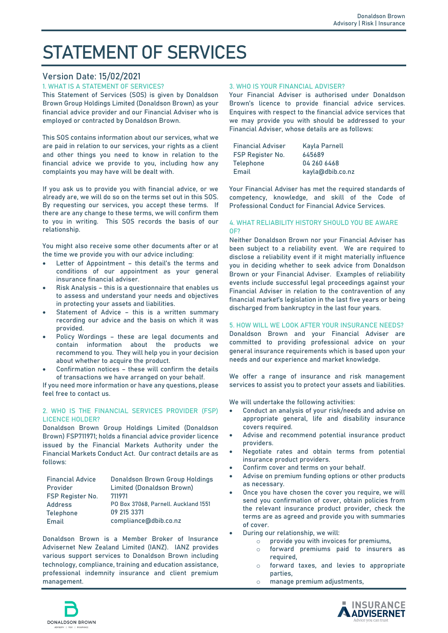# **STATEMENT OF SERVICES**

# **Version Date: 15/02/2021**

## **1. WHAT IS A STATEMENT OF SERVICES?**

This Statement of Services (**SOS**) is given by Donaldson Brown Group Holdings Limited (Donaldson Brown) as your financial advice provider and our Financial Adviser who is employed or contracted by Donaldson Brown.

This SOS contains information about our services, what we are paid in relation to our services, your rights as a client and other things you need to know in relation to the financial advice we provide to you, including how any complaints you may have will be dealt with.

If you ask us to provide you with financial advice, or we already are, we will do so on the terms set out in this SOS. By requesting our services, you accept these terms. If there are any change to these terms, we will confirm them to you in writing. This SOS records the basis of our relationship.

You might also receive some other documents after or at the time we provide you with our advice including:

- Letter of Appointment this detail's the terms and conditions of our appointment as your general insurance financial adviser.
- **Risk Analysis** this is a questionnaire that enables us to assess and understand your needs and objectives in protecting your assets and liabilities.
- **Statement of Advice** this is a written summary recording our advice and the basis on which it was provided.
- **Policy Wordings** these are legal documents and contain information about the products we recommend to you. They will help you in your decision about whether to acquire the product.
- **Confirmation notices** these will confirm the details of transactions we have arranged on your behalf.

If you need more information or have any questions, please feel free to contact us.

## **2. WHO IS THE FINANCIAL SERVICES PROVIDER (FSP) LICENCE HOLDER?**

Donaldson Brown Group Holdings Limited (Donaldson Brown) FSP711971; holds a financial advice provider licence issued by the Financial Markets Authority under the Financial Markets Conduct Act. Our contract details are as follows:

| <b>Financial Advice</b> | Donaldson Brown Group Holdings       |
|-------------------------|--------------------------------------|
| Provider                | Limited (Donaldson Brown)            |
| FSP Register No.        | 711971                               |
| Address                 | PO Box 37068, Parnell. Auckland 1551 |
| Telephone               | 09 215 3371                          |
| Email                   | compliance@dbib.co.nz                |

Donaldson Brown is a Member Broker of Insurance Advisernet New Zealand Limited (**IANZ).** IANZ provides various support services to Donaldson Brown including technology, compliance, training and education assistance, professional indemnity insurance and client premium management.

## **3. WHO IS YOUR FINANCIAL ADVISER?**

Your Financial Adviser is authorised under Donaldson Brown's licence to provide financial advice services. Enquires with respect to the financial advice services that we may provide you with should be addressed to your Financial Adviser, whose details are as follows:

| <b>Financial Adviser</b> | Kayla Parnell    |
|--------------------------|------------------|
| FSP Register No.         | 645689           |
| Telephone                | 04 260 6468      |
| Email                    | kayla@dbib.co.nz |

Your Financial Adviser has met the required standards of competency, knowledge, and skill of the Code of Professional Conduct for Financial Advice Services.

### **4. WHAT RELIABILITY HISTORY SHOULD YOU BE AWARE OF?**

Neither Donaldson Brown nor your Financial Adviser has been subject to a reliability event. We are required to disclose a reliability event if it might materially influence you in deciding whether to seek advice from Donaldson Brown or your Financial Adviser. Examples of reliability events include successful legal proceedings against your Financial Adviser in relation to the contravention of any financial market's legislation in the last five years or being discharged from bankruptcy in the last four years.

### **5. HOW WILL WE LOOK AFTER YOUR INSURANCE NEEDS?**

Donaldson Brown and your Financial Adviser are committed to providing professional advice on your general insurance requirements which is based upon your needs and our experience and market knowledge.

We offer a range of insurance and risk management services to assist you to protect your assets and liabilities.

We will undertake the following activities:

- Conduct an analysis of your risk/needs and advise on appropriate general, life and disability insurance covers required.
- Advise and recommend potential insurance product providers.
- Negotiate rates and obtain terms from potential insurance product providers.
- Confirm cover and terms on your behalf.
- Advise on premium funding options or other products as necessary.
- Once you have chosen the cover you require, we will send you confirmation of cover, obtain policies from the relevant insurance product provider, check the terms are as agreed and provide you with summaries of cover.
- During our relationship, we will:
	- o provide you with invoices for premiums,
	- o forward premiums paid to insurers as required,
	- o forward taxes, and levies to appropriate parties,
	- o manage premium adjustments,



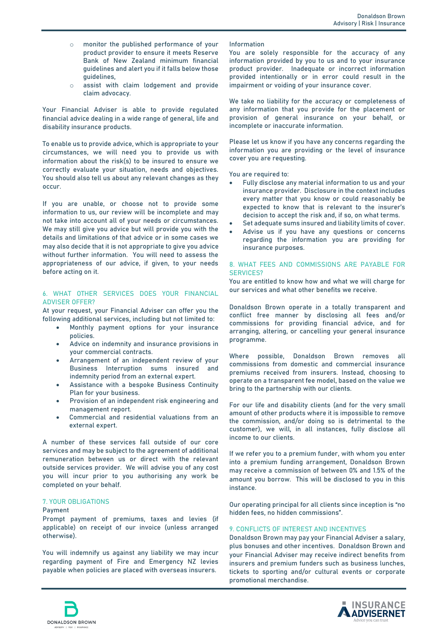- o monitor the published performance of your product provider to ensure it meets Reserve Bank of New Zealand minimum financial guidelines and alert you if it falls below those guidelines,
- o assist with claim lodgement and provide claim advocacy.

Your Financial Adviser is able to provide regulated financial advice dealing in a wide range of general, life and disability insurance products.

To enable us to provide advice, which is appropriate to your circumstances, we will need you to provide us with information about the risk(s) to be insured to ensure we correctly evaluate your situation, needs and objectives. You should also tell us about any relevant changes as they occur.

If you are unable, or choose not to provide some information to us, our review will be incomplete and may not take into account all of your needs or circumstances. We may still give you advice but will provide you with the details and limitations of that advice or in some cases we may also decide that it is not appropriate to give you advice without further information. You will need to assess the appropriateness of our advice, if given, to your needs before acting on it.

## **6. WHAT OTHER SERVICES DOES YOUR FINANCIAL ADVISER OFFER?**

At your request, your Financial Adviser can offer you the following additional services, including but not limited to:

- Monthly payment options for your insurance policies.
- Advice on indemnity and insurance provisions in your commercial contracts.
- Arrangement of an independent review of your Business Interruption sums insured and indemnity period from an external expert.
- Assistance with a bespoke Business Continuity Plan for your business.
- Provision of an independent risk engineering and management report.
- Commercial and residential valuations from an external expert.

A number of these services fall outside of our core services and may be subject to the agreement of additional remuneration between us or direct with the relevant outside services provider. We will advise you of any cost you will incur prior to you authorising any work be completed on your behalf.

## **7. YOUR OBLIGATIONS**

### **Payment**

Prompt payment of premiums, taxes and levies (if applicable) on receipt of our invoice (unless arranged otherwise).

You will indemnify us against any liability we may incur regarding payment of Fire and Emergency NZ levies payable when policies are placed with overseas insurers.

### **Information**

You are solely responsible for the accuracy of any information provided by you to us and to your insurance product provider. Inadequate or incorrect information provided intentionally or in error could result in the impairment or voiding of your insurance cover.

We take no liability for the accuracy or completeness of any information that you provide for the placement or provision of general insurance on your behalf, or incomplete or inaccurate information.

Please let us know if you have any concerns regarding the information you are providing or the level of insurance cover you are requesting.

You are required to:

- Fully disclose any material information to us and your insurance provider. Disclosure in the context includes every matter that you know or could reasonably be expected to know that is relevant to the insurer's decision to accept the risk and, if so, on what terms.
- Set adequate sums insured and liability limits of cover.
- Advise us if you have any questions or concerns regarding the information you are providing for insurance purposes.

## **8. WHAT FEES AND COMMISSIONS ARE PAYABLE FOR SERVICES?**

You are entitled to know how and what we will charge for our services and what other benefits we receive.

Donaldson Brown operate in a totally transparent and conflict free manner by disclosing all fees and/or commissions for providing financial advice, and for arranging, altering, or cancelling your general insurance programme.

Where possible, Donaldson Brown removes all commissions from domestic and commercial insurance premiums received from insurers. Instead, choosing to operate on a transparent fee model, based on the value we bring to the partnership with our clients.

For our life and disability clients (and for the very small amount of other products where it is impossible to remove the commission, and/or doing so is detrimental to the customer), we will, in all instances, fully disclose all income to our clients.

If we refer you to a premium funder, with whom you enter into a premium funding arrangement, Donaldson Brown may receive a commission of between 0% and 1.5% of the amount you borrow. This will be disclosed to you in this instance.

Our operating principal for all clients since inception is "no hidden fees, no hidden commissions".

## **9. CONFLICTS OF INTEREST AND INCENTIVES**

Donaldson Brown may pay your Financial Adviser a salary, plus bonuses and other incentives. Donaldson Brown and your Financial Adviser may receive indirect benefits from insurers and premium funders such as business lunches, tickets to sporting and/or cultural events or corporate promotional merchandise.



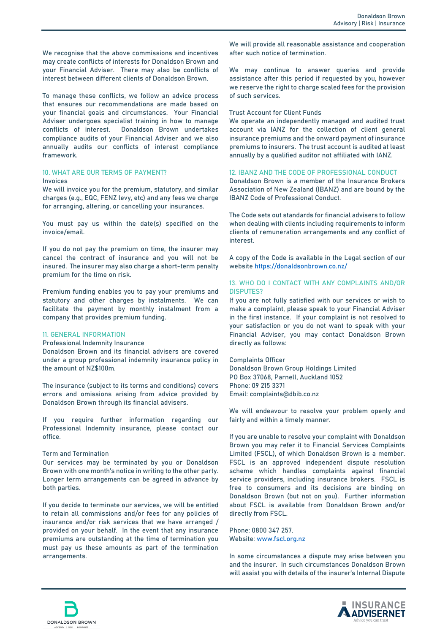We recognise that the above commissions and incentives may create conflicts of interests for Donaldson Brown and your Financial Adviser. There may also be conflicts of interest between different clients of Donaldson Brown.

To manage these conflicts, we follow an advice process that ensures our recommendations are made based on your financial goals and circumstances. Your Financial Adviser undergoes specialist training in how to manage<br>conflicts of interest. Donaldson Brown undertakes Donaldson Brown undertakes compliance audits of your Financial Adviser and we also annually audits our conflicts of interest compliance framework.

## **10. WHAT ARE OUR TERMS OF PAYMENT? Invoices**

We will invoice you for the premium, statutory, and similar charges (e.g., EQC, FENZ levy, etc) and any fees we charge for arranging, altering, or cancelling your insurances.

You must pay us within the date(s) specified on the invoice/email.

If you do not pay the premium on time, the insurer may cancel the contract of insurance and you will not be insured. The insurer may also charge a short-term penalty premium for the time on risk.

Premium funding enables you to pay your premiums and statutory and other charges by instalments. We can facilitate the payment by monthly instalment from a company that provides premium funding.

## **11. GENERAL INFORMATION**

**Professional Indemnity Insurance** 

Donaldson Brown and its financial advisers are covered under a group professional indemnity insurance policy in the amount of NZ\$100m.

The insurance (subject to its terms and conditions) covers errors and omissions arising from advice provided by Donaldson Brown through its financial advisers.

If you require further information regarding our Professional Indemnity insurance, please contact our office.

### **Term and Termination**

Our services may be terminated by you or Donaldson Brown with one month's notice in writing to the other party. Longer term arrangements can be agreed in advance by both parties.

If you decide to terminate our services, we will be entitled to retain all commissions and/or fees for any policies of insurance and/or risk services that we have arranged / provided on your behalf. In the event that any insurance premiums are outstanding at the time of termination you must pay us these amounts as part of the termination arrangements.

We will provide all reasonable assistance and cooperation after such notice of termination.

We may continue to answer queries and provide assistance after this period if requested by you, however we reserve the right to charge scaled fees for the provision of such services.

## **Trust Account for Client Funds**

We operate an independently managed and audited trust account via IANZ for the collection of client general insurance premiums and the onward payment of insurance premiums to insurers. The trust account is audited at least annually by a qualified auditor not affiliated with IANZ.

## **12. IBANZ AND THE CODE OF PROFESSIONAL CONDUCT**

Donaldson Brown is a member of the Insurance Brokers Association of New Zealand (IBANZ) and are bound by the IBANZ Code of Professional Conduct.

The Code sets out standards for financial advisers to follow when dealing with clients including requirements to inform clients of remuneration arrangements and any conflict of interest.

A copy of the Code is available in the Legal section of our website https://donaldsonbrown.co.nz/

## **13. WHO DO I CONTACT WITH ANY COMPLAINTS AND/OR DISPUTES?**

If you are not fully satisfied with our services or wish to make a complaint, please speak to your Financial Adviser in the first instance. If your complaint is not resolved to your satisfaction or you do not want to speak with your Financial Adviser, you may contact Donaldson Brown directly as follows:

Complaints Officer Donaldson Brown Group Holdings Limited PO Box 37068, Parnell, Auckland 1052 Phone: 09 215 3371 Email: complaints@dbib.co.nz

We will endeavour to resolve your problem openly and fairly and within a timely manner.

If you are unable to resolve your complaint with Donaldson Brown you may refer it to Financial Services Complaints Limited (**FSCL**), of which Donaldson Brown is a member. FSCL is an approved independent dispute resolution scheme which handles complaints against financial service providers, including insurance brokers. FSCL is free to consumers and its decisions are binding on Donaldson Brown (but not on you). Further information about FSCL is available from Donaldson Brown and/or directly from FSCL.

Phone: 0800 347 257. Website: [www.fscl.org.nz](http://www.fscl.org.nz/)

In some circumstances a dispute may arise between you and the insurer. In such circumstances Donaldson Brown will assist you with details of the insurer's Internal Dispute



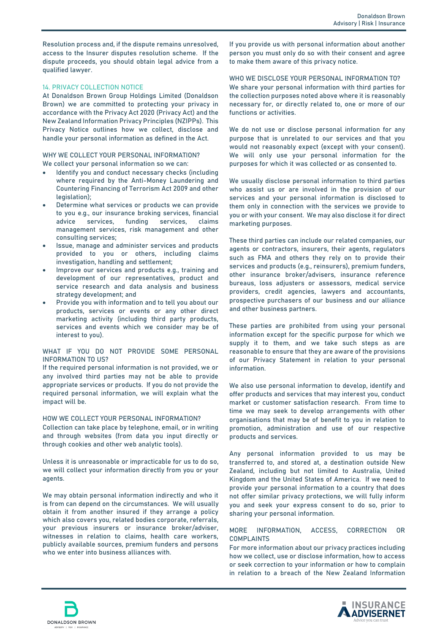Resolution process and, if the dispute remains unresolved, access to the Insurer disputes resolution scheme. If the dispute proceeds, you should obtain legal advice from a qualified lawyer.

## **14. PRIVACY COLLECTION NOTICE**

At Donaldson Brown Group Holdings Limited (Donaldson Brown) we are committed to protecting your privacy in accordance with the Privacy Act 2020 (**Privacy Act**) and the New Zealand Information Privacy Principles (**NZIPPs**). This Privacy Notice outlines how we collect, disclose and handle your personal information as defined in the Act.

#### **WHY WE COLLECT YOUR PERSONAL INFORMATION?** We collect your personal information so we can:

- Identify you and conduct necessary checks (including where required by the Anti-Money Laundering and Countering Financing of Terrorism Act 2009 and other legislation);
- Determine what services or products we can provide to you e.g., our insurance broking services, financial advice services, funding services, claims management services, risk management and other consulting services;
- Issue, manage and administer services and products provided to you or others, including claims investigation, handling and settlement;
- Improve our services and products e.g., training and development of our representatives, product and service research and data analysis and business strategy development; and
- Provide you with information and to tell you about our products, services or events or any other direct marketing activity (including third party products, services and events which we consider may be of interest to you).

## **WHAT IF YOU DO NOT PROVIDE SOME PERSONAL INFORMATION TO US?**

If the required personal information is not provided, we or any involved third parties may not be able to provide appropriate services or products. If you do not provide the required personal information, we will explain what the impact will be.

## **HOW WE COLLECT YOUR PERSONAL INFORMATION?**

Collection can take place by telephone, email, or in writing and through websites (from data you input directly or through cookies and other web analytic tools).

Unless it is unreasonable or impracticable for us to do so, we will collect your information directly from you or your agents.

We may obtain personal information indirectly and who it is from can depend on the circumstances. We will usually obtain it from another insured if they arrange a policy which also covers you, related bodies corporate, referrals, your previous insurers or insurance broker/adviser, witnesses in relation to claims, health care workers, publicly available sources, premium funders and persons who we enter into business alliances with.

If you provide us with personal information about another person you must only do so with their consent and agree to make them aware of this privacy notice.

## **WHO WE DISCLOSE YOUR PERSONAL INFORMATION TO?**

We share your personal information with third parties for the collection purposes noted above where it is reasonably necessary for, or directly related to, one or more of our functions or activities.

We do not use or disclose personal information for any purpose that is unrelated to our services and that you would not reasonably expect (except with your consent). We will only use your personal information for the purposes for which it was collected or as consented to.

We usually disclose personal information to third parties who assist us or are involved in the provision of our services and your personal information is disclosed to them only in connection with the services we provide to you or with your consent. We may also disclose it for direct marketing purposes.

These third parties can include our related companies, our agents or contractors, insurers, their agents, regulators such as FMA and others they rely on to provide their services and products (e.g., reinsurers), premium funders, other insurance broker/advisers, insurance reference bureaus, loss adjusters or assessors, medical service providers, credit agencies, lawyers and accountants, prospective purchasers of our business and our alliance and other business partners.

These parties are prohibited from using your personal information except for the specific purpose for which we supply it to them, and we take such steps as are reasonable to ensure that they are aware of the provisions of our Privacy Statement in relation to your personal information.

We also use personal information to develop, identify and offer products and services that may interest you, conduct market or customer satisfaction research. From time to time we may seek to develop arrangements with other organisations that may be of benefit to you in relation to promotion, administration and use of our respective products and services.

Any personal information provided to us may be transferred to, and stored at, a destination outside New Zealand, including but not limited to Australia, United Kingdom and the United States of America. If we need to provide your personal information to a country that does not offer similar privacy protections, we will fully inform you and seek your express consent to do so, prior to sharing your personal information.

## **MORE INFORMATION, ACCESS, CORRECTION OR COMPLAINTS**

For more information about our privacy practices including how we collect, use or disclose information, how to access or seek correction to your information or how to complain in relation to a breach of the New Zealand Information